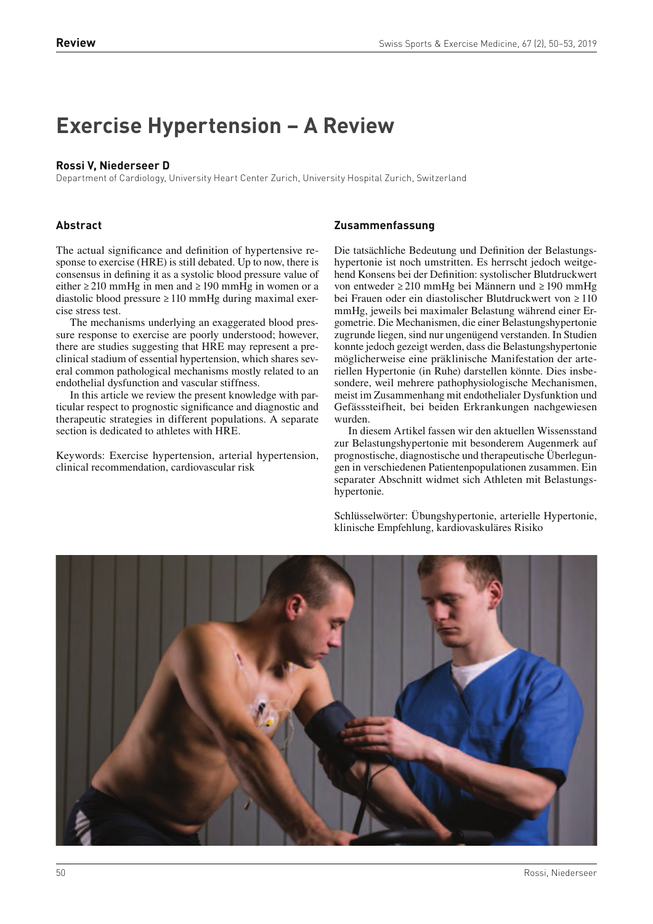# **Exercise Hypertension – A Review**

## **Rossi V, Niederseer D**

Department of Cardiology, University Heart Center Zurich, University Hospital Zurich, Switzerland

## **Abstract**

The actual significance and definition of hypertensive response to exercise (HRE) is still debated. Up to now, there is consensus in defining it as a systolic blood pressure value of either  $\geq$  210 mmHg in men and  $\geq$  190 mmHg in women or a diastolic blood pressure ≥ 110 mmHg during maximal exercise stress test.

The mechanisms underlying an exaggerated blood pressure response to exercise are poorly understood; however, there are studies suggesting that HRE may represent a preclinical stadium of essential hypertension, which shares several common pathological mechanisms mostly related to an endothelial dysfunction and vascular stiffness.

In this article we review the present knowledge with particular respect to prognostic signicance and diagnostic and therapeutic strategies in different populations. A separate section is dedicated to athletes with HRE.

Keywords: Exercise hypertension, arterial hypertension, clinical recommendation, cardiovascular risk

#### **Zusammenfassung**

Die tatsächliche Bedeutung und Definition der Belastungshypertonie ist noch umstritten. Es herrscht jedoch weitgehend Konsens bei der Definition: systolischer Blutdruckwert von entweder ≥ 210 mmHg bei Männern und ≥ 190 mmHg bei Frauen oder ein diastolischer Blutdruckwert von ≥ 110 mmHg, jeweils bei maximaler Belastung während einer Ergometrie. Die Mechanismen, die einer Belastungshypertonie zugrunde liegen, sind nur ungenügend verstanden. In Studien konnte jedoch gezeigt werden, dass die Belastungshypertonie möglicherweise eine präklinische Manifestation der arteriellen Hypertonie (in Ruhe) darstellen könnte. Dies insbesondere, weil mehrere pathophysiologische Mechanismen, meist im Zusammenhang mit endothelialer Dysfunktion und Gefässsteifheit, bei beiden Erkrankungen nachgewiesen wurden.

In diesem Artikel fassen wir den aktuellen Wissensstand zur Belastungshypertonie mit besonderem Augenmerk auf prognostische, diagnostische und therapeutische Überlegungen in verschiedenen Patientenpopulationen zusammen. Ein separater Abschnitt widmet sich Athleten mit Belastungshypertonie.

Schlüsselwörter: Übungshypertonie, arterielle Hypertonie, klinische Empfehlung, kardiovaskuläres Risiko

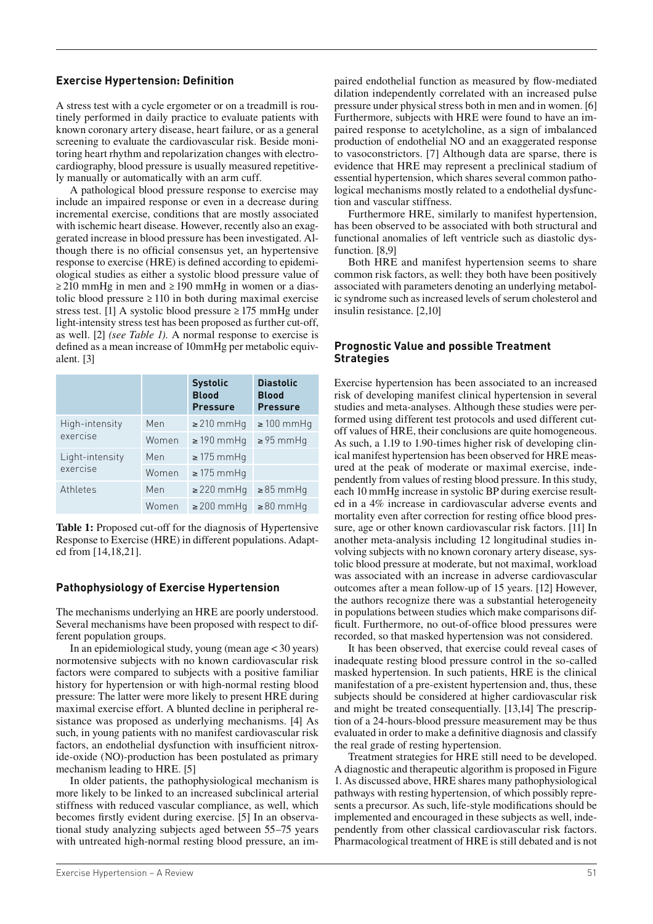## **Exercise Hypertension: Definition**

A stress test with a cycle ergometer or on a treadmill is routinely performed in daily practice to evaluate patients with known coronary artery disease, heart failure, or as a general screening to evaluate the cardiovascular risk. Beside monitoring heart rhythm and repolarization changes with electrocardiography, blood pressure is usually measured repetitively manually or automatically with an arm cuff.

A pathological blood pressure response to exercise may include an impaired response or even in a decrease during incremental exercise, conditions that are mostly associated with ischemic heart disease. However, recently also an exaggerated increase in blood pressure has been investigated. Although there is no official consensus yet, an hypertensive response to exercise (HRE) is defined according to epidemiological studies as either a systolic blood pressure value of  $\geq$  210 mmHg in men and  $\geq$  190 mmHg in women or a diastolic blood pressure  $\geq 110$  in both during maximal exercise stress test. [1] A systolic blood pressure  $\geq$  175 mmHg under light-intensity stress test has been proposed as further cut-off, as well. [2] *(see Table 1).* A normal response to exercise is defined as a mean increase of 10mmHg per metabolic equivalent. [3]

|                             |       | <b>Systolic</b><br><b>Blood</b><br><b>Pressure</b> | <b>Diastolic</b><br><b>Blood</b><br><b>Pressure</b> |
|-----------------------------|-------|----------------------------------------------------|-----------------------------------------------------|
| High-intensity<br>exercise  | Men   | $\geq$ 210 mmHg                                    | $\geq 100$ mmHq                                     |
|                             | Women | $\geq$ 190 mmHq                                    | $\geq$ 95 mmHq                                      |
| Light-intensity<br>exercise | Men   | $\geq$ 175 mmHq                                    |                                                     |
|                             | Women | $\geq$ 175 mmHq                                    |                                                     |
| Athletes                    | Men   | $\geq$ 220 mmHg                                    | $\geq$ 85 mmHq                                      |
|                             | Women | $\geq$ 200 mmHq                                    | $\geq 80$ mmHq                                      |

**Table 1:** Proposed cut-off for the diagnosis of Hypertensive Response to Exercise (HRE) in different populations. Adapted from [14,18,21].

# **Pathophysiology of Exercise Hypertension**

The mechanisms underlying an HRE are poorly understood. Several mechanisms have been proposed with respect to different population groups.

In an epidemiological study, young (mean age < 30 years) normotensive subjects with no known cardiovascular risk factors were compared to subjects with a positive familiar history for hypertension or with high-normal resting blood pressure: The latter were more likely to present HRE during maximal exercise effort. A blunted decline in peripheral resistance was proposed as underlying mechanisms. [4] As such, in young patients with no manifest cardiovascular risk factors, an endothelial dysfunction with insufficient nitroxide-oxide (NO)-production has been postulated as primary mechanism leading to HRE. [5]

In older patients, the pathophysiological mechanism is more likely to be linked to an increased subclinical arterial stiffness with reduced vascular compliance, as well, which becomes firstly evident during exercise. [5] In an observational study analyzing subjects aged between 55–75 years with untreated high-normal resting blood pressure, an impaired endothelial function as measured by flow-mediated dilation independently correlated with an increased pulse pressure under physical stress both in men and in women. [6] Furthermore, subjects with HRE were found to have an impaired response to acetylcholine, as a sign of imbalanced production of endothelial NO and an exaggerated response to vasoconstrictors. [7] Although data are sparse, there is evidence that HRE may represent a preclinical stadium of essential hypertension, which shares several common pathological mechanisms mostly related to a endothelial dysfunction and vascular stiffness.

Furthermore HRE, similarly to manifest hypertension, has been observed to be associated with both structural and functional anomalies of left ventricle such as diastolic dysfunction. [8,9]

Both HRE and manifest hypertension seems to share common risk factors, as well: they both have been positively associated with parameters denoting an underlying metabolic syndrome such as increased levels of serum cholesterol and insulin resistance. [2,10]

## **Prognostic Value and possible Treatment Strategies**

Exercise hypertension has been associated to an increased risk of developing manifest clinical hypertension in several studies and meta-analyses. Although these studies were performed using different test protocols and used different cutoff values of HRE, their conclusions are quite homogeneous. As such, a 1.19 to 1.90-times higher risk of developing clinical manifest hypertension has been observed for HRE measured at the peak of moderate or maximal exercise, independently from values of resting blood pressure. In this study, each 10 mmHg increase in systolic BP during exercise resulted in a 4% increase in cardiovascular adverse events and mortality even after correction for resting office blood pressure, age or other known cardiovascular risk factors. [11] In another meta-analysis including 12 longitudinal studies involving subjects with no known coronary artery disease, systolic blood pressure at moderate, but not maximal, workload was associated with an increase in adverse cardiovascular outcomes after a mean follow-up of 15 years. [12] However, the authors recognize there was a substantial heterogeneity in populations between studies which make comparisons dif ficult. Furthermore, no out-of-office blood pressures were recorded, so that masked hypertension was not considered.

It has been observed, that exercise could reveal cases of inadequate resting blood pressure control in the so-called masked hypertension. In such patients, HRE is the clinical manifestation of a pre-existent hypertension and, thus, these subjects should be considered at higher cardiovascular risk and might be treated consequentially. [13,14] The prescription of a 24-hours-blood pressure measurement may be thus evaluated in order to make a definitive diagnosis and classify the real grade of resting hypertension.

Treatment strategies for HRE still need to be developed. A diagnostic and therapeutic algorithm is proposed in Figure 1. As discussed above, HRE shares many pathophysiological pathways with resting hypertension, of which possibly represents a precursor. As such, life-style modifications should be implemented and encouraged in these subjects as well, independently from other classical cardiovascular risk factors. Pharmacological treatment of HRE is still debated and is not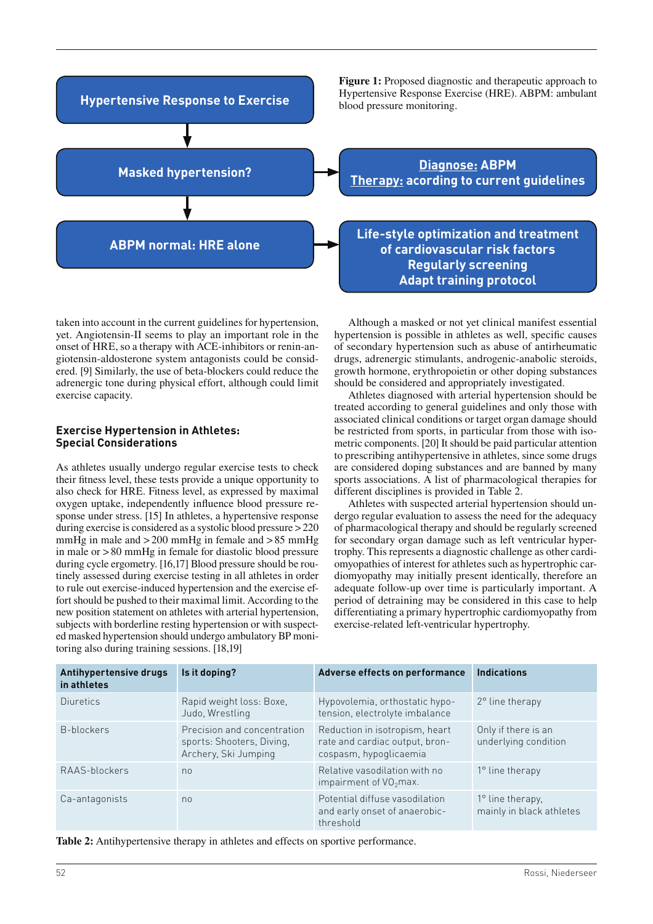

taken into account in the current guidelines for hypertension, yet. Angiotensin-II seems to play an important role in the onset of HRE, so a therapy with ACE-inhibitors or renin-angiotensin-aldosterone system antagonists could be considered. [9] Similarly, the use of beta-blockers could reduce the adrenergic tone during physical effort, although could limit exercise capacity.

#### **Exercise Hypertension in Athletes: Special Considerations**

As athletes usually undergo regular exercise tests to check their fitness level, these tests provide a unique opportunity to also check for HRE. Fitness level, as expressed by maximal oxygen uptake, independently influence blood pressure response under stress. [15] In athletes, a hypertensive response during exercise is considered as a systolic blood pressure > 220 mmHg in male and  $>$  200 mmHg in female and  $>$  85 mmHg in male or > 80 mmHg in female for diastolic blood pressure during cycle ergometry. [16,17] Blood pressure should be routinely assessed during exercise testing in all athletes in order to rule out exercise-induced hypertension and the exercise effort should be pushed to their maximal limit. According to the new position statement on athletes with arterial hypertension, subjects with borderline resting hypertension or with suspected masked hypertension should undergo ambulatory BP monitoring also during training sessions. [18,19]

Although a masked or not yet clinical manifest essential hypertension is possible in athletes as well, specific causes of secondary hypertension such as abuse of antirheumatic drugs, adrenergic stimulants, androgenic-anabolic steroids, growth hormone, erythropoietin or other doping substances should be considered and appropriately investigated.

Athletes diagnosed with arterial hypertension should be treated according to general guidelines and only those with associated clinical conditions or target organ damage should be restricted from sports, in particular from those with isometric components. [20] It should be paid particular attention to prescribing antihypertensive in athletes, since some drugs are considered doping substances and are banned by many sports associations. A list of pharmacological therapies for different disciplines is provided in Table 2.

Athletes with suspected arterial hypertension should undergo regular evaluation to assess the need for the adequacy of pharmacological therapy and should be regularly screened for secondary organ damage such as left ventricular hypertrophy. This represents a diagnostic challenge as other cardiomyopathies of interest for athletes such as hypertrophic cardiomyopathy may initially present identically, therefore an adequate follow-up over time is particularly important. A period of detraining may be considered in this case to help differentiating a primary hypertrophic cardiomyopathy from exercise-related left-ventricular hypertrophy.

| Antihypertensive drugs<br>in athletes | Is it doping?                                                                    | Adverse effects on performance                                                             | <b>Indications</b>                                  |
|---------------------------------------|----------------------------------------------------------------------------------|--------------------------------------------------------------------------------------------|-----------------------------------------------------|
| Diuretics                             | Rapid weight loss: Boxe,<br>Judo, Wrestling                                      | Hypovolemia, orthostatic hypo-<br>tension, electrolyte imbalance                           | 2° line therapy                                     |
| B-blockers                            | Precision and concentration<br>sports: Shooters, Diving,<br>Archery, Ski Jumping | Reduction in isotropism, heart<br>rate and cardiac output, bron-<br>cospasm, hypoglicaemia | Only if there is an<br>underlying condition         |
| RAAS-blockers                         | n <sub>0</sub>                                                                   | Relative vasodilation with no<br>impairment of $VO2$ max.                                  | $1^\circ$ line therapy                              |
| Ca-antagonists                        | n <sub>0</sub>                                                                   | Potential diffuse vasodilation<br>and early onset of anaerobic-<br>threshold               | $1^\circ$ line therapy,<br>mainly in black athletes |

**Table 2:** Antihypertensive therapy in athletes and effects on sportive performance.